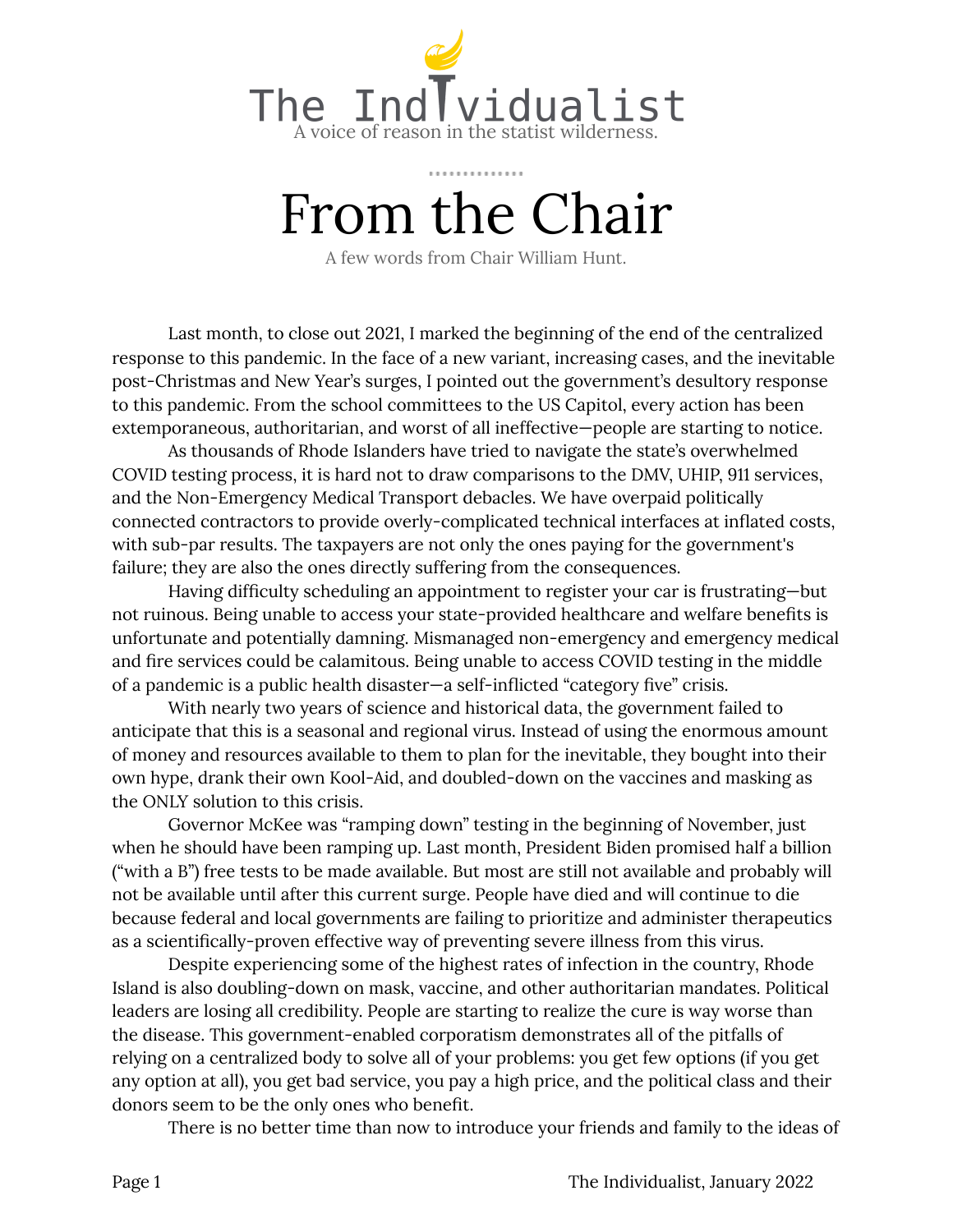

# From the Chair

A few words from Chair William Hunt.

Last month, to close out 2021, I marked the beginning of the end of the centralized response to this pandemic. In the face of a new variant, increasing cases, and the inevitable post-Christmas and New Year's surges, I pointed out the government's desultory response to this pandemic. From the school committees to the US Capitol, every action has been extemporaneous, authoritarian, and worst of all ineffective—people are starting to notice.

As thousands of Rhode Islanders have tried to navigate the state's overwhelmed COVID testing process, it is hard not to draw comparisons to the DMV, UHIP, 911 services, and the Non-Emergency Medical Transport debacles. We have overpaid politically connected contractors to provide overly-complicated technical interfaces at inflated costs, with sub-par results. The taxpayers are not only the ones paying for the government's failure; they are also the ones directly suffering from the consequences.

Having difficulty scheduling an appointment to register your car is frustrating—but not ruinous. Being unable to access your state-provided healthcare and welfare benefits is unfortunate and potentially damning. Mismanaged non-emergency and emergency medical and fire services could be calamitous. Being unable to access COVID testing in the middle of a pandemic is a public health disaster—a self-inflicted "category five" crisis.

With nearly two years of science and historical data, the government failed to anticipate that this is a seasonal and regional virus. Instead of using the enormous amount of money and resources available to them to plan for the inevitable, they bought into their own hype, drank their own Kool-Aid, and doubled-down on the vaccines and masking as the ONLY solution to this crisis.

Governor McKee was "ramping down" testing in the beginning of November, just when he should have been ramping up. Last month, President Biden promised half a billion ("with a B") free tests to be made available. But most are still not available and probably will not be available until after this current surge. People have died and will continue to die because federal and local governments are failing to prioritize and administer therapeutics as a scientifically-proven effective way of preventing severe illness from this virus.

Despite experiencing some of the highest rates of infection in the country, Rhode Island is also doubling-down on mask, vaccine, and other authoritarian mandates. Political leaders are losing all credibility. People are starting to realize the cure is way worse than the disease. This government-enabled corporatism demonstrates all of the pitfalls of relying on a centralized body to solve all of your problems: you get few options (if you get any option at all), you get bad service, you pay a high price, and the political class and their donors seem to be the only ones who benefit.

There is no better time than now to introduce your friends and family to the ideas of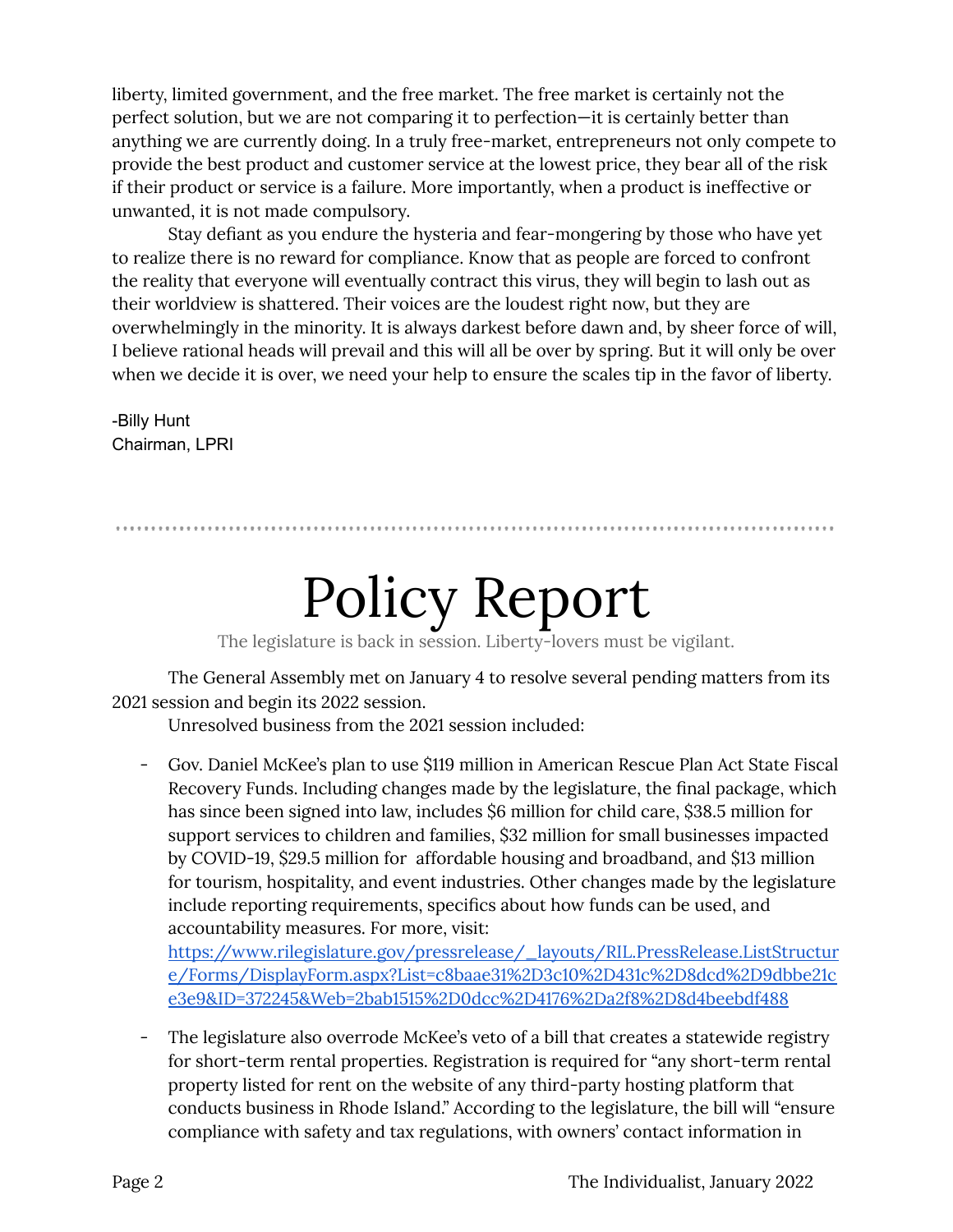liberty, limited government, and the free market. The free market is certainly not the perfect solution, but we are not comparing it to perfection—it is certainly better than anything we are currently doing. In a truly free-market, entrepreneurs not only compete to provide the best product and customer service at the lowest price, they bear all of the risk if their product or service is a failure. More importantly, when a product is ineffective or unwanted, it is not made compulsory.

Stay defiant as you endure the hysteria and fear-mongering by those who have yet to realize there is no reward for compliance. Know that as people are forced to confront the reality that everyone will eventually contract this virus, they will begin to lash out as their worldview is shattered. Their voices are the loudest right now, but they are overwhelmingly in the minority. It is always darkest before dawn and, by sheer force of will, I believe rational heads will prevail and this will all be over by spring. But it will only be over when we decide it is over, we need your help to ensure the scales tip in the favor of liberty.

-Billy Hunt Chairman, LPRI

## Policy Report

The legislature is back in session. Liberty-lovers must be vigilant.

The General Assembly met on January 4 to resolve several pending matters from its 2021 session and begin its 2022 session.

Unresolved business from the 2021 session included:

- Gov. Daniel McKee's plan to use \$119 million in American Rescue Plan Act State Fiscal Recovery Funds. Including changes made by the legislature, the final package, which has since been signed into law, includes \$6 million for child care, \$38.5 million for support services to children and families, \$32 million for small businesses impacted by COVID-19, \$29.5 million for affordable housing and broadband, and \$13 million for tourism, hospitality, and event industries. Other changes made by the legislature include reporting requirements, specifics about how funds can be used, and accountability measures. For more, visit:

[https://www.rilegislature.gov/pressrelease/\\_layouts/RIL.PressRelease.ListStructur](https://www.rilegislature.gov/pressrelease/_layouts/RIL.PressRelease.ListStructure/Forms/DisplayForm.aspx?List=c8baae31%2D3c10%2D431c%2D8dcd%2D9dbbe21ce3e9&ID=372245&Web=2bab1515%2D0dcc%2D4176%2Da2f8%2D8d4beebdf488) [e/Forms/DisplayForm.aspx?List=c8baae31%2D3c10%2D431c%2D8dcd%2D9dbbe21c](https://www.rilegislature.gov/pressrelease/_layouts/RIL.PressRelease.ListStructure/Forms/DisplayForm.aspx?List=c8baae31%2D3c10%2D431c%2D8dcd%2D9dbbe21ce3e9&ID=372245&Web=2bab1515%2D0dcc%2D4176%2Da2f8%2D8d4beebdf488) [e3e9&ID=372245&Web=2bab1515%2D0dcc%2D4176%2Da2f8%2D8d4beebdf488](https://www.rilegislature.gov/pressrelease/_layouts/RIL.PressRelease.ListStructure/Forms/DisplayForm.aspx?List=c8baae31%2D3c10%2D431c%2D8dcd%2D9dbbe21ce3e9&ID=372245&Web=2bab1515%2D0dcc%2D4176%2Da2f8%2D8d4beebdf488)

The legislature also overrode McKee's veto of a bill that creates a statewide registry for short-term rental properties. Registration is required for "any short-term rental property listed for rent on the website of any third-party hosting platform that conducts business in Rhode Island." According to the legislature, the bill will "ensure compliance with safety and tax regulations, with owners' contact information in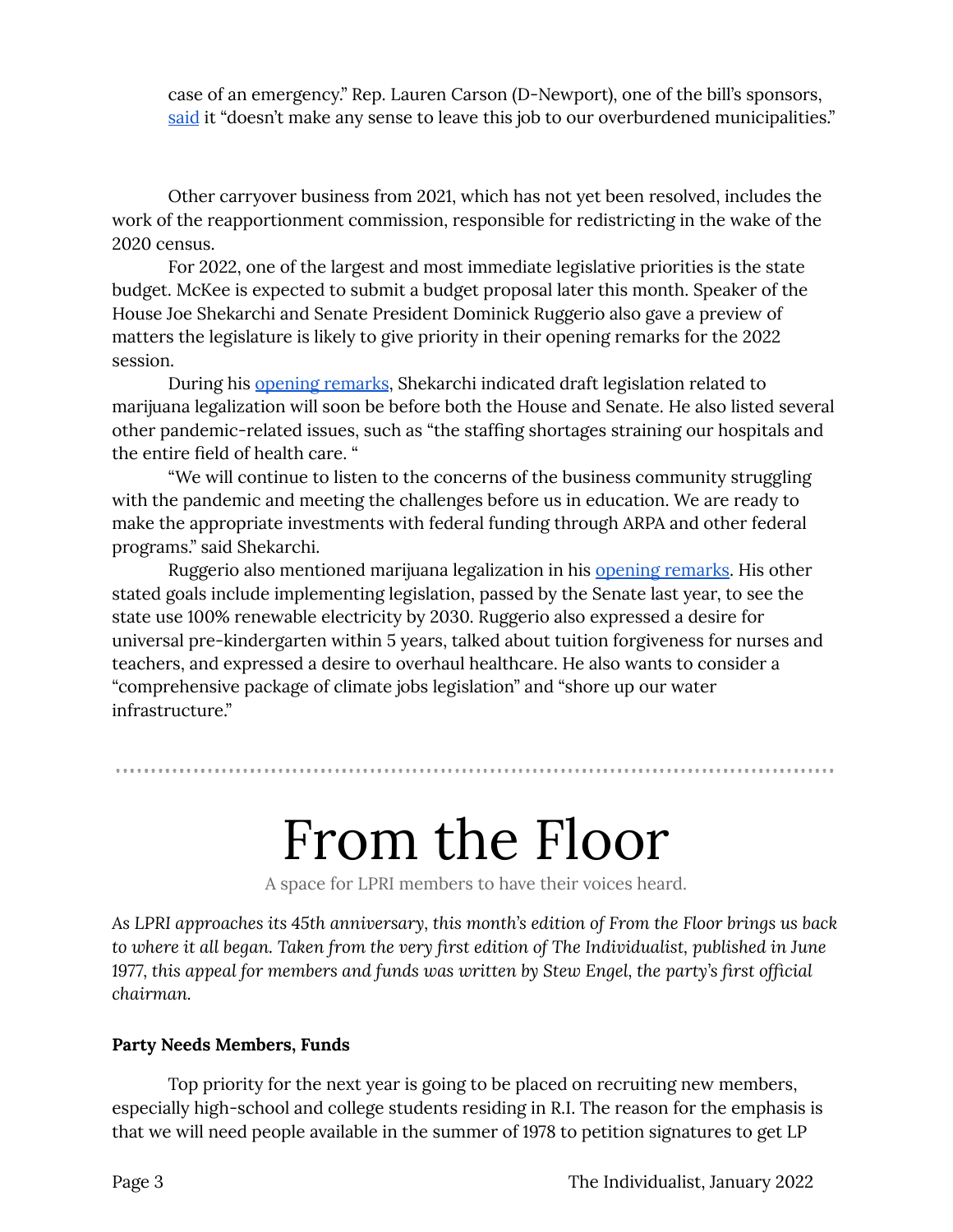case of an emergency." Rep. Lauren Carson (D-Newport), one of the bill's sponsors, [said](https://www.rilegislature.gov/pressrelease/_layouts/RIL.PressRelease.ListStructure/Forms/DisplayForm.aspx?List=c8baae31%2D3c10%2D431c%2D8dcd%2D9dbbe21ce3e9&ID=372243&Web=2bab1515%2D0dcc%2D4176%2Da2f8%2D8d4beebdf488) it "doesn't make any sense to leave this job to our overburdened municipalities."

Other carryover business from 2021, which has not yet been resolved, includes the work of the reapportionment commission, responsible for redistricting in the wake of the 2020 census.

For 2022, one of the largest and most immediate legislative priorities is the state budget. McKee is expected to submit a budget proposal later this month. Speaker of the House Joe Shekarchi and Senate President Dominick Ruggerio also gave a preview of matters the legislature is likely to give priority in their opening remarks for the 2022 session.

During his opening [remarks](https://www.rilegislature.gov/pressrelease/_layouts/RIL.PressRelease.ListStructure/Forms/DisplayForm.aspx?List=c8baae31%2D3c10%2D431c%2D8dcd%2D9dbbe21ce3e9&ID=372246&Web=2bab1515%2D0dcc%2D4176%2Da2f8%2D8d4beebdf488), Shekarchi indicated draft legislation related to marijuana legalization will soon be before both the House and Senate. He also listed several other pandemic-related issues, such as "the staffing shortages straining our hospitals and the entire field of health care. "

"We will continue to listen to the concerns of the business community struggling with the pandemic and meeting the challenges before us in education. We are ready to make the appropriate investments with federal funding through ARPA and other federal programs." said Shekarchi.

Ruggerio also mentioned marijuana legalization in his opening [remarks.](https://www.rilegislature.gov/pressrelease/_layouts/15/ril.pressrelease.inputform/DisplayForm.aspx?List=c8baae31-3c10-431c-8dcd-9dbbe21ce3e9&ID=372248) His other stated goals include implementing legislation, passed by the Senate last year, to see the state use 100% renewable electricity by 2030. Ruggerio also expressed a desire for universal pre-kindergarten within 5 years, talked about tuition forgiveness for nurses and teachers, and expressed a desire to overhaul healthcare. He also wants to consider a "comprehensive package of climate jobs legislation" and "shore up our water infrastructure."

### From the Floor

A space for LPRI members to have their voices heard.

*As LPRI approaches its 45th anniversary, this month's edition of From the Floor brings us back to where it all began. Taken from the very first edition of The Individualist, published in June 1977, this appeal for members and funds was written by Stew Engel, the party's first official chairman.*

#### **Party Needs Members, Funds**

Top priority for the next year is going to be placed on recruiting new members, especially high-school and college students residing in R.I. The reason for the emphasis is that we will need people available in the summer of 1978 to petition signatures to get LP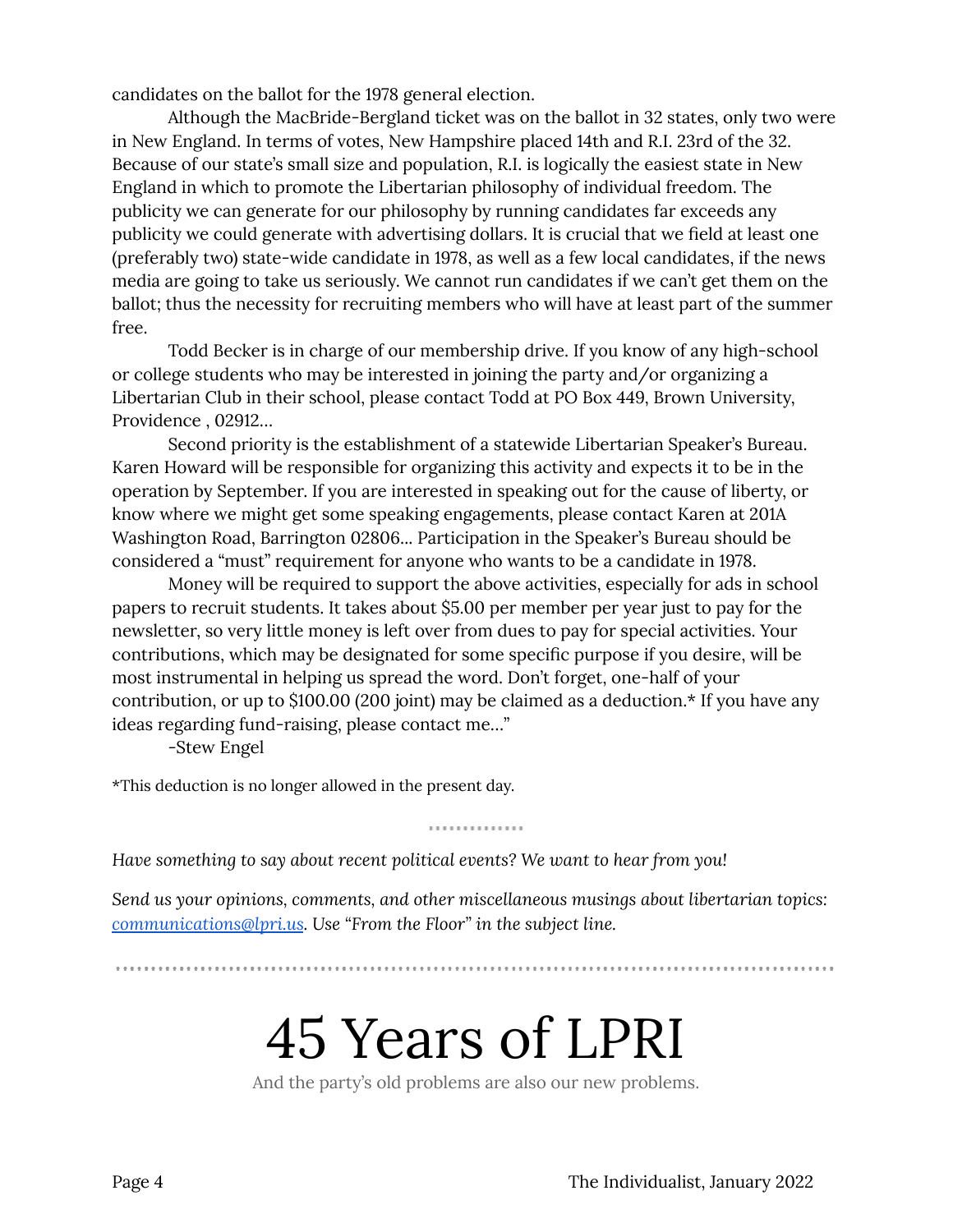candidates on the ballot for the 1978 general election.

Although the MacBride-Bergland ticket was on the ballot in 32 states, only two were in New England. In terms of votes, New Hampshire placed 14th and R.I. 23rd of the 32. Because of our state's small size and population, R.I. is logically the easiest state in New England in which to promote the Libertarian philosophy of individual freedom. The publicity we can generate for our philosophy by running candidates far exceeds any publicity we could generate with advertising dollars. It is crucial that we field at least one (preferably two) state-wide candidate in 1978, as well as a few local candidates, if the news media are going to take us seriously. We cannot run candidates if we can't get them on the ballot; thus the necessity for recruiting members who will have at least part of the summer free.

Todd Becker is in charge of our membership drive. If you know of any high-school or college students who may be interested in joining the party and/or organizing a Libertarian Club in their school, please contact Todd at PO Box 449, Brown University, Providence , 02912…

Second priority is the establishment of a statewide Libertarian Speaker's Bureau. Karen Howard will be responsible for organizing this activity and expects it to be in the operation by September. If you are interested in speaking out for the cause of liberty, or know where we might get some speaking engagements, please contact Karen at 201A Washington Road, Barrington 02806... Participation in the Speaker's Bureau should be considered a "must" requirement for anyone who wants to be a candidate in 1978.

Money will be required to support the above activities, especially for ads in school papers to recruit students. It takes about \$5.00 per member per year just to pay for the newsletter, so very little money is left over from dues to pay for special activities. Your contributions, which may be designated for some specific purpose if you desire, will be most instrumental in helping us spread the word. Don't forget, one-half of your contribution, or up to \$100.00 (200 joint) may be claimed as a deduction.\* If you have any ideas regarding fund-raising, please contact me…"

-Stew Engel

\*This deduction is no longer allowed in the present day.

*Have something to say about recent political events? We want to hear from you!*

*Send us your opinions, comments, and other miscellaneous musings about libertarian topics: [communications@lpri.us](mailto:communications@lpri.us). Use "From the Floor" in the subject line.*

..............

## 45 Years of LPRI

And the party's old problems are also our new problems.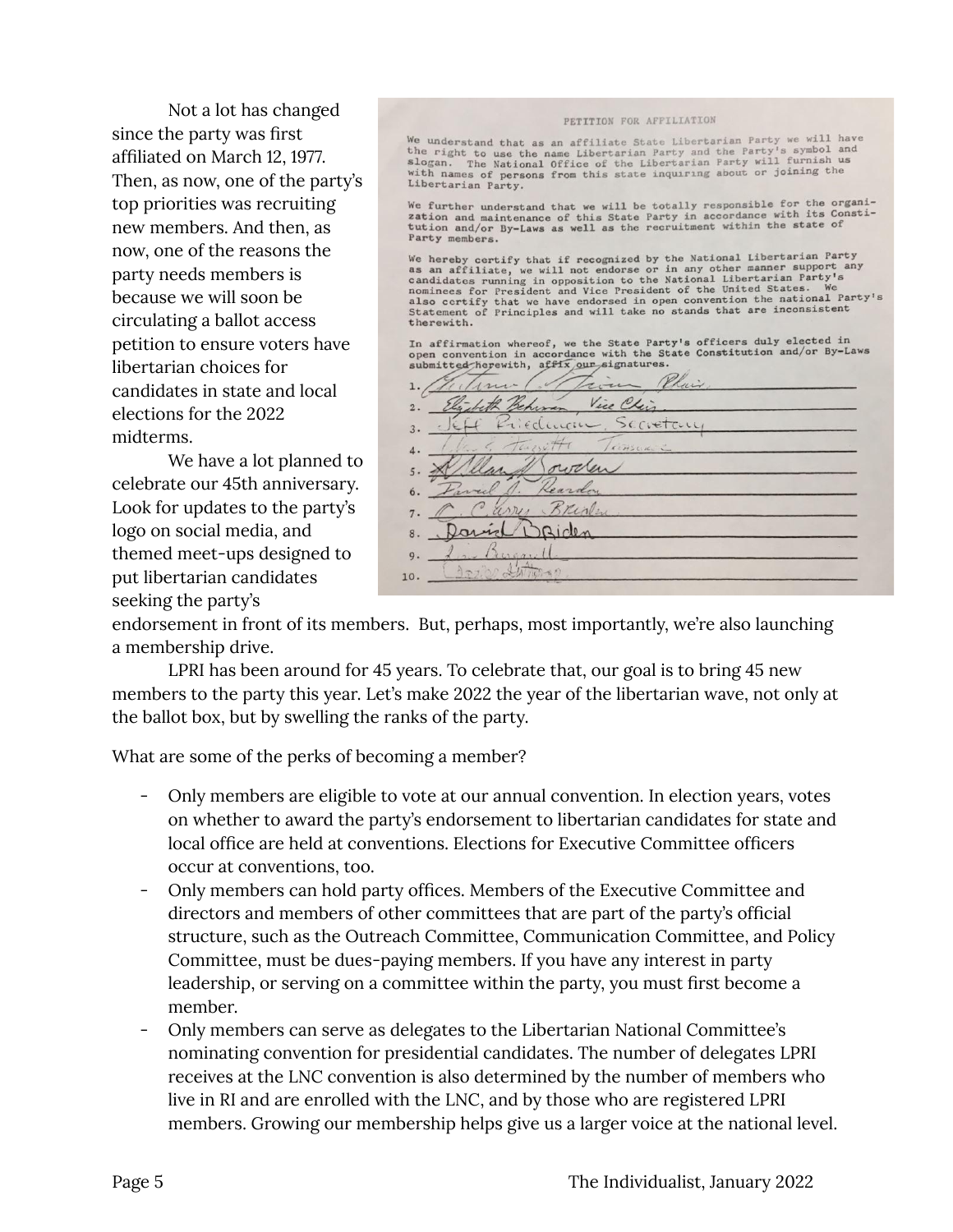Not a lot has changed since the party was first affiliated on March 12, 1977. Then, as now, one of the party's top priorities was recruiting new members. And then, as now, one of the reasons the party needs members is because we will soon be circulating a ballot access petition to ensure voters have libertarian choices for candidates in state and local elections for the 2022 midterms.

We have a lot planned to celebrate our 45th anniversary. Look for updates to the party's logo on social media, and themed meet-ups designed to put libertarian candidates seeking the party's

| PETITION FOR AFFILIATION                                                                                                                                                                                                                                                                                                                                                                                                                                                                                                                                                                                                                                               |
|------------------------------------------------------------------------------------------------------------------------------------------------------------------------------------------------------------------------------------------------------------------------------------------------------------------------------------------------------------------------------------------------------------------------------------------------------------------------------------------------------------------------------------------------------------------------------------------------------------------------------------------------------------------------|
| We understand that as an affiliate State Libertarian Party we will have<br>the right to use the name Libertarian Party and the Party's symbol and<br>slogan. The National Office of the Libertarian Party will furnish us<br>with names of persons from this state inquiring about or joining the<br>Libertarian Party.                                                                                                                                                                                                                                                                                                                                                |
| We further understand that we will be totally responsible for the organi-<br>zation and maintenance of this State Party in accordance with its Consti-<br>tution and/or By-Laws as well as the recruitment within the state of<br>Party members.                                                                                                                                                                                                                                                                                                                                                                                                                       |
| We hereby certify that if recognized by the National Libertarian Party<br>as an affiliate, we will not endorse or in any other manner support any<br>candidates running in opposition to the National Libertarian Party's<br>nominees for President and Vice President of the United States. We<br>also certify that we have endorsed in open convention the national Party's<br>Statement of Principles and will take no stands that are inconsistent<br>therewith.<br>In affirmation whereof, we the State Party's officers duly elected in<br>open convention in accordance with the State Constitution and/or By-Laws<br>submitted herewith, affix our signatures. |
| Vice C<br>rivan                                                                                                                                                                                                                                                                                                                                                                                                                                                                                                                                                                                                                                                        |
| Scrietain<br>CLLCILL                                                                                                                                                                                                                                                                                                                                                                                                                                                                                                                                                                                                                                                   |
| $\overline{\mathcal{L}}$<br>4.                                                                                                                                                                                                                                                                                                                                                                                                                                                                                                                                                                                                                                         |
|                                                                                                                                                                                                                                                                                                                                                                                                                                                                                                                                                                                                                                                                        |
| eard                                                                                                                                                                                                                                                                                                                                                                                                                                                                                                                                                                                                                                                                   |
|                                                                                                                                                                                                                                                                                                                                                                                                                                                                                                                                                                                                                                                                        |
|                                                                                                                                                                                                                                                                                                                                                                                                                                                                                                                                                                                                                                                                        |
|                                                                                                                                                                                                                                                                                                                                                                                                                                                                                                                                                                                                                                                                        |
|                                                                                                                                                                                                                                                                                                                                                                                                                                                                                                                                                                                                                                                                        |

endorsement in front of its members. But, perhaps, most importantly, we're also launching a membership drive.

LPRI has been around for 45 years. To celebrate that, our goal is to bring 45 new members to the party this year. Let's make 2022 the year of the libertarian wave, not only at the ballot box, but by swelling the ranks of the party.

What are some of the perks of becoming a member?

- Only members are eligible to vote at our annual convention. In election years, votes on whether to award the party's endorsement to libertarian candidates for state and local office are held at conventions. Elections for Executive Committee officers occur at conventions, too.
- Only members can hold party offices. Members of the Executive Committee and directors and members of other committees that are part of the party's official structure, such as the Outreach Committee, Communication Committee, and Policy Committee, must be dues-paying members. If you have any interest in party leadership, or serving on a committee within the party, you must first become a member.
- Only members can serve as delegates to the Libertarian National Committee's nominating convention for presidential candidates. The number of delegates LPRI receives at the LNC convention is also determined by the number of members who live in RI and are enrolled with the LNC, and by those who are registered LPRI members. Growing our membership helps give us a larger voice at the national level.